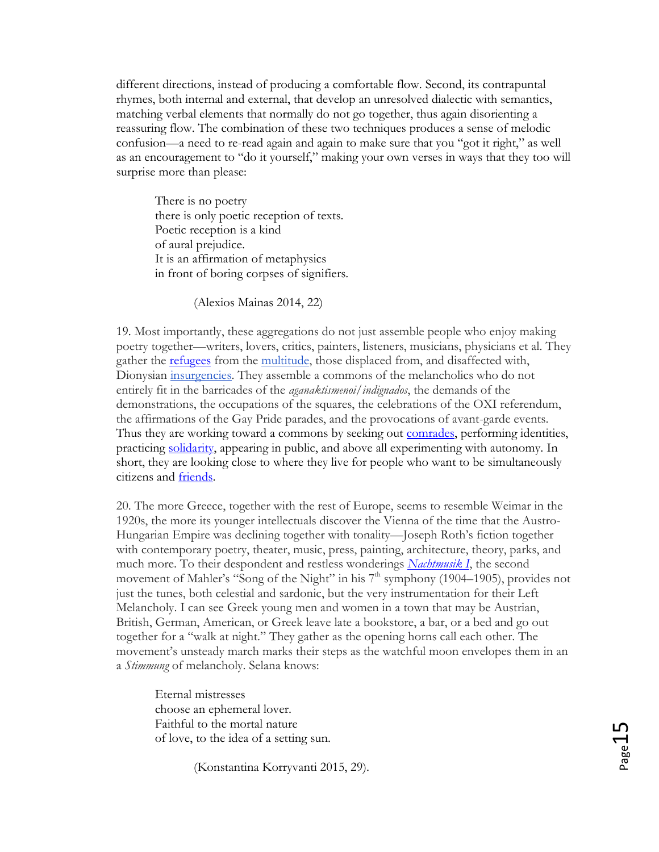different directions, instead of producing a comfortable flow. Second, its contrapuntal rhymes, both internal and external, that develop an unresolved dialectic with semantics, matching verbal elements that normally do not go together, thus again disorienting a reassuring flow. The combination of these two techniques produces a sense of melodic confusion—a need to re-read again and again to make sure that you "got it right," as well as an encouragement to "do it yourself," making your own verses in ways that they too will surprise more than please:

There is no poetry there is only poetic reception of texts. Poetic reception is a kind of aural prejudice. It is an affirmation of metaphysics in front of boring corpses of signifiers.

(Alexios Mainas 2014, 22)

19. Most importantly, these aggregations do not just assemble people who enjoy making poetry together—writers, lovers, critics, painters, listeners, musicians, physicians et al. They gather the [refugees](https://poetrypiano.wordpress.com/2015/08/19/817/) from the [multitude,](https://en.wikipedia.org/wiki/Multitude) those displaced from, and disaffected with, Dionysian [insurgencies.](https://www.upress.umn.edu/book-division/books/insurgencies) They assemble a commons of the melancholics who do not entirely fit in the barricades of the *aganaktismenoi*/*indignados*, the demands of the demonstrations, the occupations of the squares, the celebrations of the OXI referendum, the affirmations of the Gay Pride parades, and the provocations of avant-garde events. Thus they are working toward a commons by seeking out **comrades**, performing identities, practicing [solidarity,](https://poetrypiano.wordpress.com/2014/12/12/fraternite-2/) appearing in public, and above all experimenting with autonomy. In short, they are looking close to where they live for people who want to be simultaneously citizens and [friends.](https://poetrypiano.wordpress.com/2015/03/28/a-public-friendship-with-a-unique-friend/)

20. The more Greece, together with the rest of Europe, seems to resemble Weimar in the 1920s, the more its younger intellectuals discover the Vienna of the time that the Austro-Hungarian Empire was declining together with tonality—Joseph Roth's fiction together with contemporary poetry, theater, music, press, painting, architecture, theory, parks, and much more. To their despondent and restless wonderings *[Nachtmusik I](https://www.youtube.com/watch?v=FVS0aQgq1C8)*, the second movement of Mahler's "Song of the Night" in his 7<sup>th</sup> symphony (1904–1905), provides not just the tunes, both celestial and sardonic, but the very instrumentation for their Left Melancholy. I can see Greek young men and women in a town that may be Austrian, British, German, American, or Greek leave late a bookstore, a bar, or a bed and go out together for a "walk at night." They gather as the opening horns call each other. The movement's unsteady march marks their steps as the watchful moon envelopes them in an a *Stimmung* of melancholy. Selana knows:

Eternal mistresses choose an ephemeral lover. Faithful to the mortal nature of love, to the idea of a setting sun.

(Konstantina Korryvanti 2015, 29).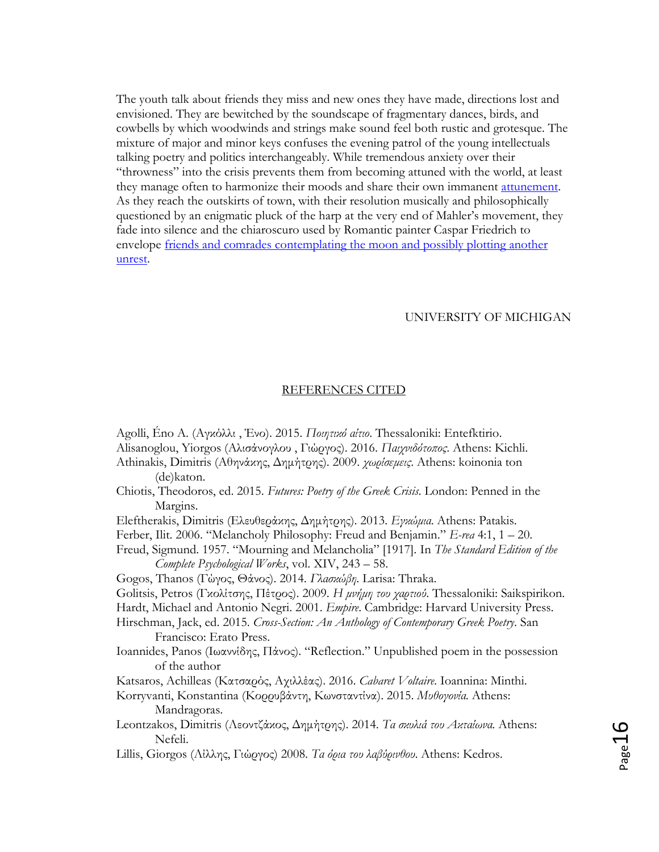The youth talk about friends they miss and new ones they have made, directions lost and envisioned. They are bewitched by the soundscape of fragmentary dances, birds, and cowbells by which woodwinds and strings make sound feel both rustic and grotesque. The mixture of major and minor keys confuses the evening patrol of the young intellectuals talking poetry and politics interchangeably. While tremendous anxiety over their "throwness" into the crisis prevents them from becoming attuned with the world, at least they manage often to harmonize their moods and share their own immanent [attunement.](https://poetrypiano.wordpress.com/2015/01/04/stimmung/) As they reach the outskirts of town, with their resolution musically and philosophically questioned by an enigmatic pluck of the harp at the very end of Mahler's movement, they fade into silence and the chiaroscuro used by Romantic painter Caspar Friedrich to envelope [friends and comrades contemplating the moon and possibly plotting another](https://poetrypiano.wordpress.com/2015/02/06/341/)  [unrest.](https://poetrypiano.wordpress.com/2015/02/06/341/)

## UNIVERSITY OF MICHIGAN

## REFERENCES CITED

Agolli, Éno A. (Αγκόλλι , Ένο). 2015. *Ποιητικό αίτιο*. Thessaloniki: Entefktirio. Alisanoglou, Yiorgos (Αλισάνογλου , Γιώργος). 2016. *Παιχνιδότοπος*. Athens: Kichli. Athinakis, Dimitris (Aθηνάκης, Δημήτρης). 2009. *χωρίσεμεις*. Αthens: koinonia ton (de)katon. Chiotis, Theodoros, ed. 2015. *Futures: Poetry of the Greek Crisis*. London: Penned in the Margins. Eleftherakis, Dimitris (Ελευθεράκης, Δημήτρης). 2013. *Εγκώμια*. Athens: Patakis. Ferber, Ilit. 2006. "Melancholy Philosophy: Freud and Benjamin." *E-rea* 4:1, 1 – 20. Freud, Sigmund. 1957. "Mourning and Melancholia" [1917]. In *The Standard Edition of the Complete Psychological Works*, vol. XIV, 243 – 58. Gogos, Thanos (Γώγος, Θάνος). 2014. *Γλασκώβη*. Larisa: Thraka. Golitsis, Petros (Γκολίτσης, Πέτρος). 2009. *Η μνήμη του χαρτιού*. Thessaloniki: Saikspirikon. Hardt, Michael and Antonio Negri. 2001. *Empire*. Cambridge: Harvard University Press. Hirschman, Jack, ed. 2015. *Cross-Section: An Anthology of Contemporary Greek Poetry*. San Francisco: Erato Press. Ioannides, Panos (Ιωαννίδης, Πάνος). "Reflection." Unpublished poem in the possession of the author Katsaros, Achilleas (Κατσαρός, Αχιλλέας). 2016. *Cabaret Voltaire*. Ioannina: Minthi. Korryvanti, Konstantina (Κορρυβάντη, Κωνσταντίνα). 2015. *Μυθογονία*. Athens: Mandragoras. Leontzakos, Dimitris (Λεοντζάκος, Δημήτρης). 2014. *Τα σκυλιά του Ακταίωνα*. Athens: Nefeli. Lillis, Giorgos (Λίλλης, Γιώργος) 2008. *Τα όρια του λαβύρινθου*. Athens: Kedros.

Page16